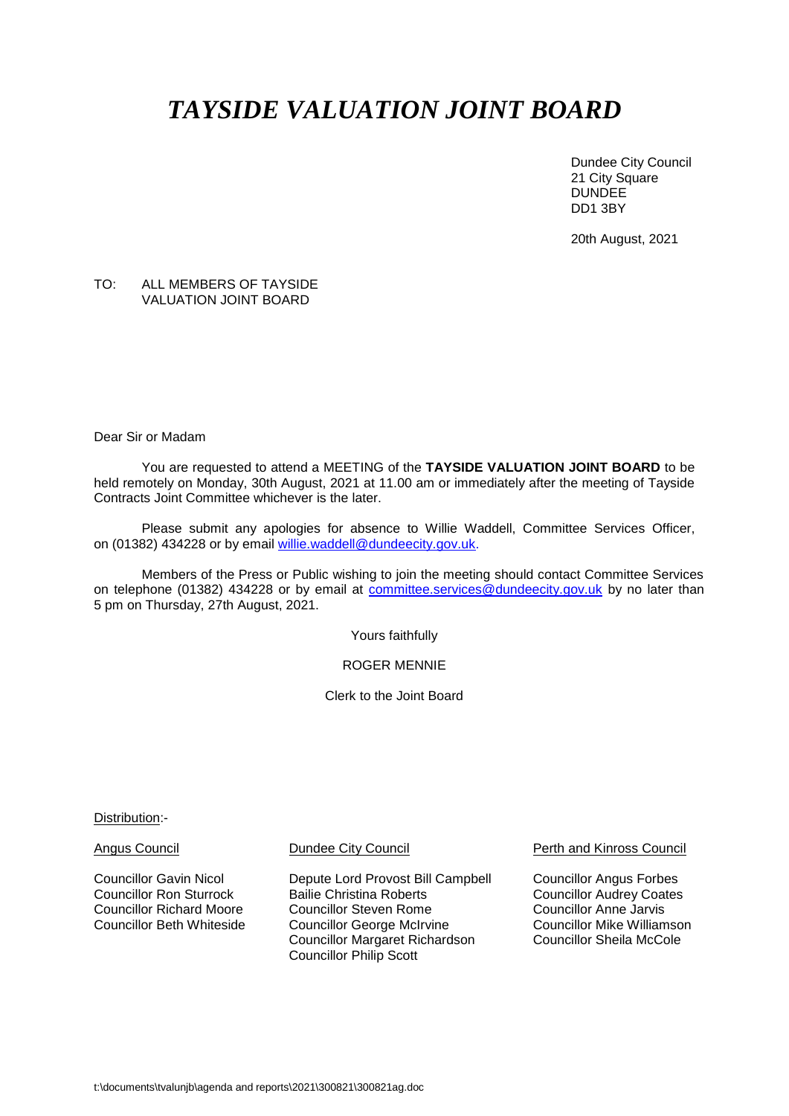# *TAYSIDE VALUATION JOINT BOARD*

Dundee City Council 21 City Square DUNDEE DD1 3BY

20th August, 2021

### TO: ALL MEMBERS OF TAYSIDE VALUATION JOINT BOARD

Dear Sir or Madam

You are requested to attend a MEETING of the **TAYSIDE VALUATION JOINT BOARD** to be held remotely on Monday, 30th August, 2021 at 11.00 am or immediately after the meeting of Tayside Contracts Joint Committee whichever is the later.

Please submit any apologies for absence to Willie Waddell, Committee Services Officer, on (01382) 434228 or by email [willie.waddell@dundeecity.gov.uk.](mailto:willie.waddell@dundeecity.gov.uk)

Members of the Press or Public wishing to join the meeting should contact Committee Services on telephone (01382) 434228 or by email at [committee.services@dundeecity.gov.uk](mailto:committee.services@dundeecity.gov.uk) by no later than 5 pm on Thursday, 27th August, 2021.

Yours faithfully

ROGER MENNIE

Clerk to the Joint Board

Distribution:-

Councillor Gavin Nicol Depute Lord Provost Bill Campbell Councillor Angus Forbes Councillor Ron Sturrock Bailie Christina Roberts<br>
Councillor Richard Moore Councillor Steven Rome Councillor Anne Jarvis Councillor Richard Moore Councillor Steven Rome Councillor Anne Jarvis Councillor George McIrvine Councillor Margaret Richardson Councillor Sheila McCole Councillor Philip Scott

Angus Council **Dundee City Council Perth and Kinross Council Perth and Kinross Council**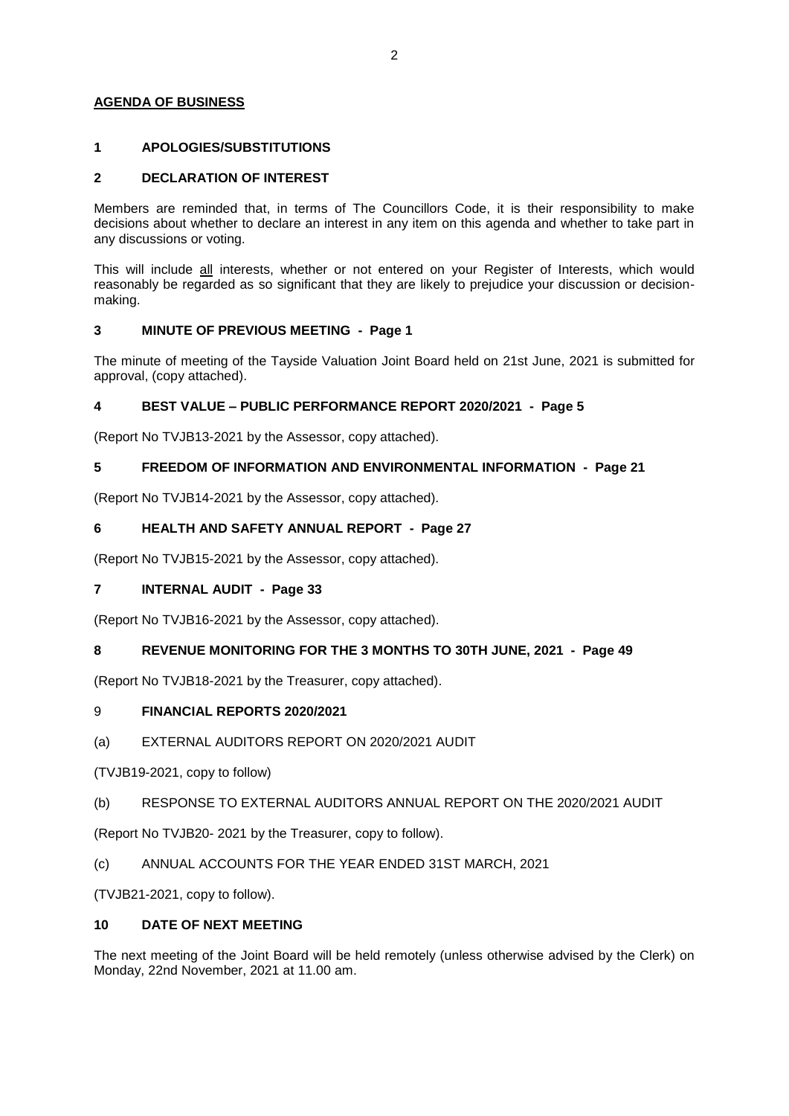# **AGENDA OF BUSINESS**

## **1 APOLOGIES/SUBSTITUTIONS**

## **2 DECLARATION OF INTEREST**

Members are reminded that, in terms of The Councillors Code, it is their responsibility to make decisions about whether to declare an interest in any item on this agenda and whether to take part in any discussions or voting.

This will include all interests, whether or not entered on your Register of Interests, which would reasonably be regarded as so significant that they are likely to prejudice your discussion or decisionmaking.

#### **3 MINUTE OF PREVIOUS MEETING - Page 1**

The minute of meeting of the Tayside Valuation Joint Board held on 21st June, 2021 is submitted for approval, (copy attached).

### **4 BEST VALUE – PUBLIC PERFORMANCE REPORT 2020/2021 - Page 5**

(Report No TVJB13-2021 by the Assessor, copy attached).

### **5 FREEDOM OF INFORMATION AND ENVIRONMENTAL INFORMATION - Page 21**

(Report No TVJB14-2021 by the Assessor, copy attached).

# **6 HEALTH AND SAFETY ANNUAL REPORT - Page 27**

(Report No TVJB15-2021 by the Assessor, copy attached).

# **7 INTERNAL AUDIT - Page 33**

(Report No TVJB16-2021 by the Assessor, copy attached).

# **8 REVENUE MONITORING FOR THE 3 MONTHS TO 30TH JUNE, 2021 - Page 49**

(Report No TVJB18-2021 by the Treasurer, copy attached).

#### 9 **FINANCIAL REPORTS 2020/2021**

(a) EXTERNAL AUDITORS REPORT ON 2020/2021 AUDIT

(TVJB19-2021, copy to follow)

# (b) RESPONSE TO EXTERNAL AUDITORS ANNUAL REPORT ON THE 2020/2021 AUDIT

(Report No TVJB20- 2021 by the Treasurer, copy to follow).

(c) ANNUAL ACCOUNTS FOR THE YEAR ENDED 31ST MARCH, 2021

(TVJB21-2021, copy to follow).

#### **10 DATE OF NEXT MEETING**

The next meeting of the Joint Board will be held remotely (unless otherwise advised by the Clerk) on Monday, 22nd November, 2021 at 11.00 am.